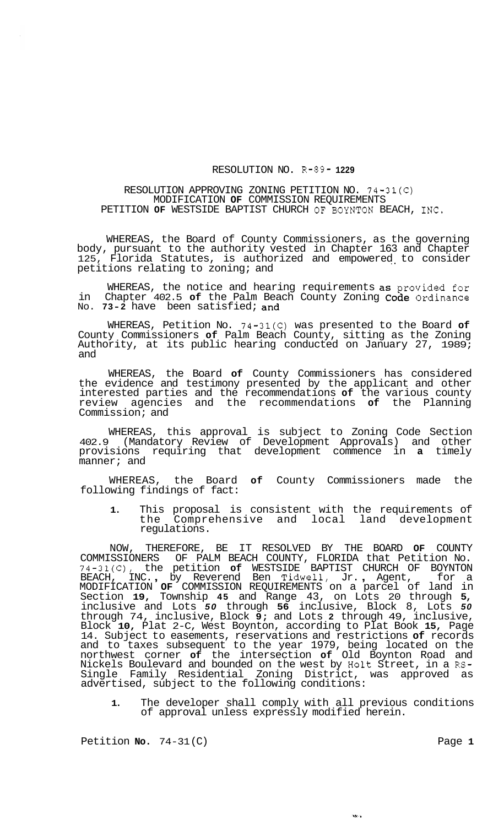## RESOLUTION NO. R-89- **1229**

## RESOLUTION APPROVING ZONING PETITION NO. 74-31(C) MODIFICATION **OF** COMMISSION REQUIREMENTS PETITION **OF** WESTSIDE BAPTIST CHURCH OF BOYNTON BEACH, INC.

WHEREAS, the Board of County Commissioners, as the governing body, pursuant to the authority vested in Chapter 163 and Chapter Florida Statutes, is authorized and empowered to consider petitions relating to zoning; and

WHEREAS, the notice and hearing requirements **as** provided for in Chapter 402.5 **of** the Palm Beach County Zoning code Ordinance No. **73-2** have been satisfied; and

WHEREAS, Petition No. 74-31(C) was presented to the Board **of**  County Commissioners **of** Palm Beach County, sitting as the Zoning Authority, at its public hearing conducted on January 27, 1989; and

WHEREAS, the Board **of** County Commissioners has considered the evidence and testimony presented by the applicant and other interested parties and the recommendations **of** the various county review agencies and the recommendations **of** the Planning Commission; and

WHEREAS, this approval is subject to Zoning Code Section 402.9 (Mandatory Review of Development Approvals) and other provisions requiring that development commence in **a** timely manner; and

WHEREAS, the Board **of** County Commissioners made the following findings of fact:

**1.** This proposal is consistent with the requirements of the Comprehensive and local land development regulations.

NOW, THEREFORE, BE IT RESOLVED BY THE BOARD **OF** COUNTY COMMISSIONERS OF PALM BEACH COUNTY, FLORIDA that Petition No. 74-31(C), the petition **of** WESTSIDE BAPTIST CHURCH OF BOYNTON BEACH, INC. , by Reverend Ben Tidwell, Jr. , Agent, for a MODIFICATION **OF** COMMISSION REQUIREMENTS on a parcel of land in Section **19,** Township **45** and Range 43, on Lots 20 through **5,**  inclusive and Lots *50* through **56** inclusive, Block 8, Lots *50*  through 74, inclusive, Block **9;** and Lots **2** through 49, inclusive, Block **10,** Plat 2-C, West Boynton, according to Plat Book **15,** Page 14. Subject to easements, reservations and restrictions **of** records and to taxes subsequent to the year 1979, being located on the northwest corner **of** the intersection **of** Old Boynton Road and Nickels Boulevard and bounded on the west by Holt Street, in a RS-Single Family Residential Zoning District, was approved as advertised, subject to the following conditions:

**1.** The developer shall comply with all previous conditions of approval unless expressly modified herein.

 $\alpha_{\rm{tot}}$ 

Petition **No.** 74-31(C) Page 1